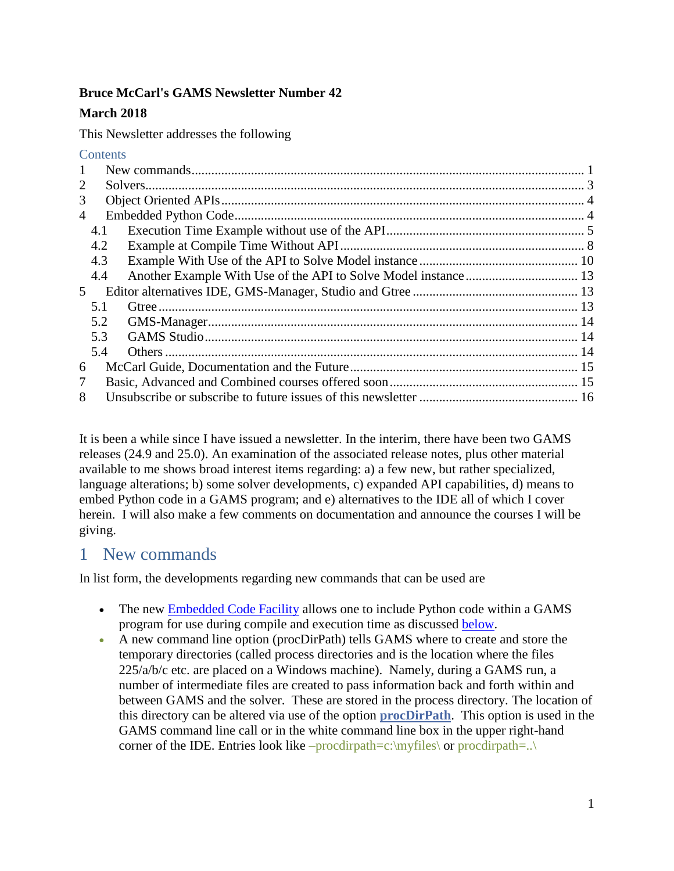## **Bruce McCarl's GAMS Newsletter Number 42**

## **March 2018**

This Newsletter addresses the following

#### **Contents**

| $\mathbf{1}$   |     |  |
|----------------|-----|--|
| $\overline{2}$ |     |  |
| 3              |     |  |
| $\overline{4}$ |     |  |
|                | 4.1 |  |
|                | 4.2 |  |
|                | 4.3 |  |
|                | 4.4 |  |
| 5              |     |  |
|                | 5.1 |  |
|                | 5.2 |  |
|                | 5.3 |  |
|                | 5.4 |  |
| 6              |     |  |
| 7              |     |  |
| 8              |     |  |

It is been a while since I have issued a newsletter. In the interim, there have been two GAMS releases (24.9 and 25.0). An examination of the associated release notes, plus other material available to me shows broad interest items regarding: a) a few new, but rather specialized, language alterations; b) some solver developments, c) expanded API capabilities, d) means to embed Python code in a GAMS program; and e) alternatives to the IDE all of which I cover herein. I will also make a few comments on documentation and announce the courses I will be giving.

## <span id="page-0-0"></span>1 New commands

In list form, the developments regarding new commands that can be used are

- The new [Embedded Code Facility](#page-3-2) allows one to include Python code within a GAMS program for use during compile and execution time as discussed [below.](#page-3-2)
- A new command line option (procDirPath) tells GAMS where to create and store the temporary directories (called process directories and is the location where the files 225/a/b/c etc. are placed on a Windows machine). Namely, during a GAMS run, a number of intermediate files are created to pass information back and forth within and between GAMS and the solver. These are stored in the process directory. The location of this directory can be altered via use of the option **[procDirPath](https://www.gams.com/latest/docs/UG_GamsCall.html#GAMSAOProcDirPath)**. This option is used in the GAMS command line call or in the white command line box in the upper right-hand corner of the IDE. Entries look like –procdirpath=c:\myfiles\ or procdirpath=..\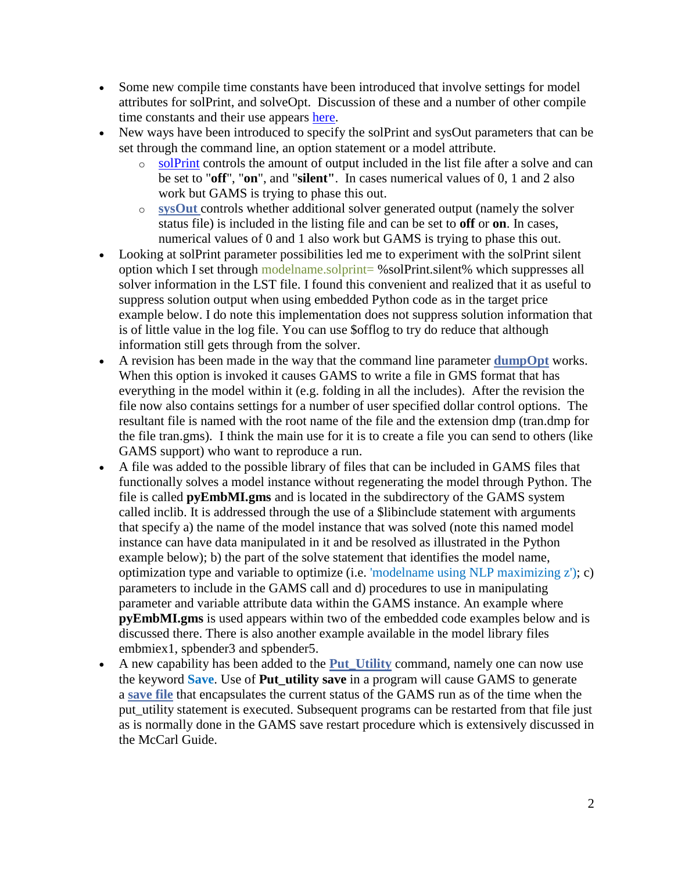- Some new compile time constants have been introduced that involve settings for model attributes for solPrint, and solveOpt. Discussion of these and a number of other compile time constants and their use appears [here.](https://www.gams.com/latest/docs/UG_GamsCall.html#UG_GamsCall_CompileTimeConstants)
- New ways have been introduced to specify the solPrint and sysOut parameters that can be set through the command line, an option statement or a model attribute.
	- o [solPrint](https://www.gams.com/latest/docs/UG_GamsCall.html#GAMSAOSolPrint) controls the amount of output included in the list file after a solve and can be set to "**off**", "**on**", and "**silent"**. In cases numerical values of 0, 1 and 2 also work but GAMS is trying to phase this out.
	- o **[sysOut](https://www.gams.com/latest/docs/UG_GamsCall.html#GAMSAOSysOut)** controls whether additional solver generated output (namely the solver status file) is included in the listing file and can be set to **off** or **on**. In cases, numerical values of 0 and 1 also work but GAMS is trying to phase this out.
- Looking at solPrint parameter possibilities led me to experiment with the solPrint silent option which I set through modelname.solprint= %solPrint.silent% which suppresses all solver information in the LST file. I found this convenient and realized that it as useful to suppress solution output when using embedded Python code as in the target price example below. I do note this implementation does not suppress solution information that is of little value in the log file. You can use \$offlog to try do reduce that although information still gets through from the solver.
- A revision has been made in the way that the command line parameter **[dumpOpt](https://www.gams.com/latest/docs/UG_GamsCall.html#GAMSAODumpOpt)** works. When this option is invoked it causes GAMS to write a file in GMS format that has everything in the model within it (e.g. folding in all the includes). After the revision the file now also contains settings for a number of user specified dollar control options. The resultant file is named with the root name of the file and the extension dmp (tran.dmp for the file tran.gms). I think the main use for it is to create a file you can send to others (like GAMS support) who want to reproduce a run.
- A file was added to the possible library of files that can be included in GAMS files that functionally solves a model instance without regenerating the model through Python. The file is called **pyEmbMI.gms** and is located in the subdirectory of the GAMS system called inclib. It is addressed through the use of a \$libinclude statement with arguments that specify a) the name of the model instance that was solved (note this named model instance can have data manipulated in it and be resolved as illustrated in the Python example below); b) the part of the solve statement that identifies the model name, optimization type and variable to optimize (i.e. 'modelname using NLP maximizing z'); c) parameters to include in the GAMS call and d) procedures to use in manipulating parameter and variable attribute data within the GAMS instance. An example where **pyEmbMI.gms** is used appears within two of the embedded code examples below and is discussed there. There is also another example available in the model library files embmiex1, spbender3 and spbender5.
- A new capability has been added to the **[Put\\_Utility](https://www.gams.com/latest/docs/UG_Put.html#UG_Put_PutUtil)** command, namely one can now use the keyword **Save**. Use of **Put\_utility save** in a program will cause GAMS to generate a **[save file](https://www.gams.com/latest/docs/UG_SaveRestart.html)** that encapsulates the current status of the GAMS run as of the time when the put utility statement is executed. Subsequent programs can be restarted from that file just as is normally done in the GAMS save restart procedure which is extensively discussed in the McCarl Guide.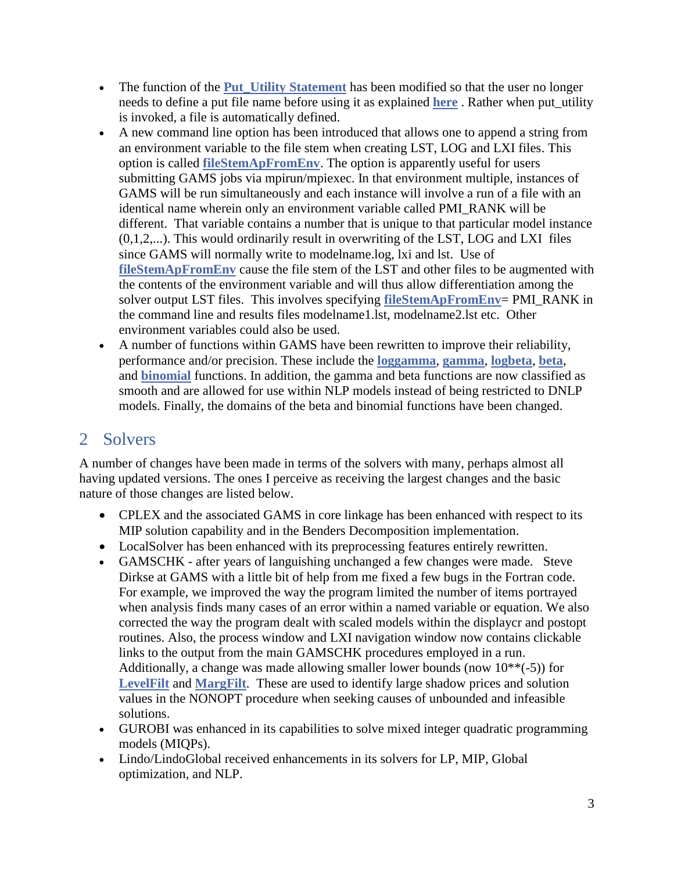- The function of the **Put** Utility Statement has been modified so that the user no longer needs to define a put file name before using it as explained **[here](https://www.gams.com/latest/docs/UG_Put.html#UG_Put_TheSyntax_FileStatement)** . Rather when put\_utility is invoked, a file is automatically defined.
- A new command line option has been introduced that allows one to append a string from an environment variable to the file stem when creating LST, LOG and LXI files. This option is called **[fileStemApFromEnv](https://www.gams.com/latest/docs/UG_GamsCall.html#GAMSAOFileStemApFromEnv)**. The option is apparently useful for users submitting GAMS jobs via mpirun/mpiexec. In that environment multiple, instances of GAMS will be run simultaneously and each instance will involve a run of a file with an identical name wherein only an environment variable called PMI\_RANK will be different. That variable contains a number that is unique to that particular model instance  $(0,1,2,...)$ . This would ordinarily result in overwriting of the LST, LOG and LXI files since GAMS will normally write to modelname.log, lxi and lst. Use of **[fileStemApFromEnv](https://www.gams.com/latest/docs/UG_GamsCall.html#GAMSAOFileStemApFromEnv)** cause the file stem of the LST and other files to be augmented with the contents of the environment variable and will thus allow differentiation among the solver output LST files. This involves specifying **[fileStemApFromEnv](https://www.gams.com/latest/docs/UG_GamsCall.html#GAMSAOFileStemApFromEnv)**= PMI\_RANK in the command line and results files modelname1.lst, modelname2.lst etc. Other environment variables could also be used.
- A number of functions within GAMS have been rewritten to improve their reliability, performance and/or precision. These include the **[loggamma](https://www.gams.com/latest/docs/UG_Parameters.html#UG_Parameters_Mathematical_Functions)**, **[gamma](https://www.gams.com/latest/docs/UG_Parameters.html#UG_Parameters_Mathematical_Functions)**, **[logbeta](https://www.gams.com/latest/docs/UG_Parameters.html#UG_Parameters_Mathematical_Functions)**, **[beta](https://www.gams.com/latest/docs/UG_Parameters.html#UG_Parameters_Mathematical_Functions)**, and **[binomial](https://www.gams.com/latest/docs/UG_Parameters.html#UG_Parameters_Mathematical_Functions)** functions. In addition, the gamma and beta functions are now classified as smooth and are allowed for use within NLP models instead of being restricted to DNLP models. Finally, the domains of the beta and binomial functions have been changed.

# <span id="page-2-0"></span>2 Solvers

A number of changes have been made in terms of the solvers with many, perhaps almost all having updated versions. The ones I perceive as receiving the largest changes and the basic nature of those changes are listed below.

- CPLEX and the associated GAMS in core linkage has been enhanced with respect to its MIP solution capability and in the Benders Decomposition implementation.
- LocalSolver has been enhanced with its preprocessing features entirely rewritten.
- GAMSCHK after years of languishing unchanged a few changes were made. Steve Dirkse at GAMS with a little bit of help from me fixed a few bugs in the Fortran code. For example, we improved the way the program limited the number of items portrayed when analysis finds many cases of an error within a named variable or equation. We also corrected the way the program dealt with scaled models within the displaycr and postopt routines. Also, the process window and LXI navigation window now contains clickable links to the output from the main GAMSCHK procedures employed in a run. Additionally, a change was made allowing smaller lower bounds (now  $10^{**}(-5)$ ) for **[LevelFilt](https://www.gams.com/latest/docs/S_GAMSCHK.html#GAMSCHKLEVELFILT)** and **[MargFilt](https://www.gams.com/latest/docs/S_GAMSCHK.html#GAMSCHKMARGFILT)**. These are used to identify large shadow prices and solution values in the NONOPT procedure when seeking causes of unbounded and infeasible solutions.
- GUROBI was enhanced in its capabilities to solve mixed integer quadratic programming models (MIQPs).
- Lindo/LindoGlobal received enhancements in its solvers for LP, MIP, Global optimization, and NLP.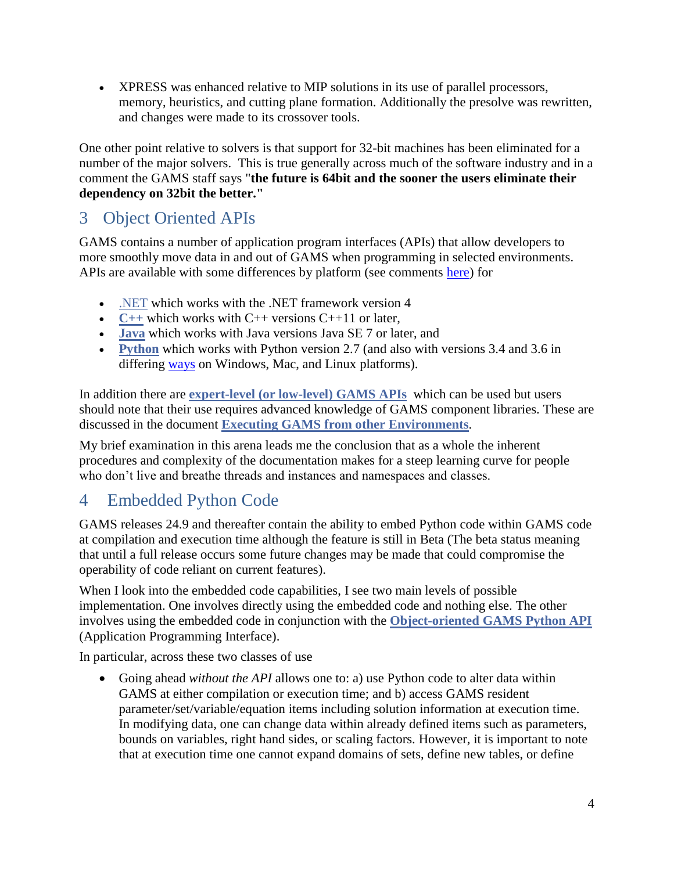• XPRESS was enhanced relative to MIP solutions in its use of parallel processors, memory, heuristics, and cutting plane formation. Additionally the presolve was rewritten, and changes were made to its crossover tools.

One other point relative to solvers is that support for 32-bit machines has been eliminated for a number of the major solvers. This is true generally across much of the software industry and in a comment the GAMS staff says "**the future is 64bit and the sooner the users eliminate their dependency on 32bit the better."**

# <span id="page-3-0"></span>3 Object Oriented APIs

GAMS contains a number of application program interfaces (APIs) that allow developers to more smoothly move data in and out of GAMS when programming in selected environments. APIs are available with some differences by platform (see comments [here\)](https://www.gams.com/latest/docs/API_MAIN.html#GAMS_HLAPIS_SUPPORTED_PLATFORMS) for

- [.NET](https://www.gams.com/latest/docs/apis/dotnet/DOTNET_OVERVIEW.html) which works with the .NET framework version 4
- $C++$  which works with  $C++$  versions  $C++11$  or later,
- **[Java](https://www.gams.com/latest/docs/API_JAVA_OVERVIEW.html)** which works with Java versions Java SE 7 or later, and
- **[Python](https://www.gams.com/latest/docs/API_PY_OVERVIEW.html)** which works with Python version 2.7 (and also with versions 3.4 and 3.6 in differing [ways](https://www.gams.com/latest/docs/API_MAIN.html#GAMS_HLAPIS_SUPPORTED_PLATFORMS) on Windows, Mac, and Linux platforms).

In addition there are **expert-level [\(or low-level\) GAMS](https://www.gams.com/latest/docs/API_MAIN.html#GAMS_LLAPIS) APIs** which can be used but users should note that their use requires advanced knowledge of GAMS component libraries. These are discussed in the document **Executing GAMS [from other Environments](https://www.gams.com/latest/docs/UG_spawning_gams.html)**.

My brief examination in this arena leads me the conclusion that as a whole the inherent procedures and complexity of the documentation makes for a steep learning curve for people who don't live and breathe threads and instances and namespaces and classes.

# <span id="page-3-1"></span>4 Embedded Python Code

<span id="page-3-2"></span>GAMS releases 24.9 and thereafter contain the ability to embed Python code within GAMS code at compilation and execution time although the feature is still in Beta (The beta status meaning that until a full release occurs some future changes may be made that could compromise the operability of code reliant on current features).

When I look into the embedded code capabilities, I see two main levels of possible implementation. One involves directly using the embedded code and nothing else. The other involves using the embedded code in conjunction with the **[Object-oriented GAMS](https://www.gams.com/latest/docs/API_PY_OVERVIEW.html) Python API** (Application Programming Interface).

In particular, across these two classes of use

• Going ahead *without the API* allows one to: a) use Python code to alter data within GAMS at either compilation or execution time; and b) access GAMS resident parameter/set/variable/equation items including solution information at execution time. In modifying data, one can change data within already defined items such as parameters, bounds on variables, right hand sides, or scaling factors. However, it is important to note that at execution time one cannot expand domains of sets, define new tables, or define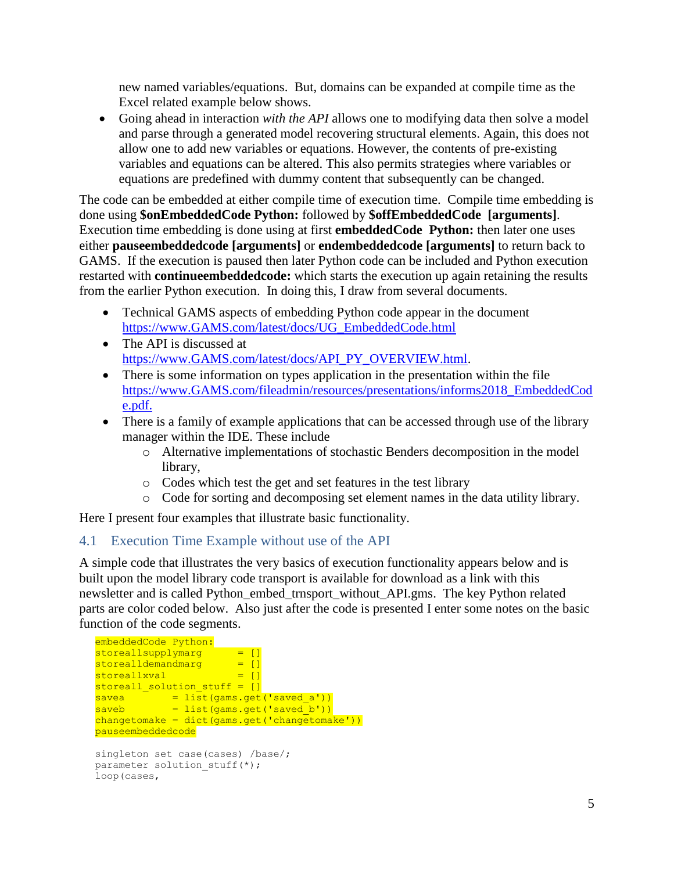new named variables/equations. But, domains can be expanded at compile time as the Excel related example below shows.

• Going ahead in interaction *with the API* allows one to modifying data then solve a model and parse through a generated model recovering structural elements. Again, this does not allow one to add new variables or equations. However, the contents of pre-existing variables and equations can be altered. This also permits strategies where variables or equations are predefined with dummy content that subsequently can be changed.

The code can be embedded at either compile time of execution time. Compile time embedding is done using **\$onEmbeddedCode Python:** followed by **\$offEmbeddedCode [arguments]**. Execution time embedding is done using at first **embeddedCode Python:** then later one uses either **pauseembeddedcode [arguments]** or **endembeddedcode [arguments]** to return back to GAMS. If the execution is paused then later Python code can be included and Python execution restarted with **continueembeddedcode:** which starts the execution up again retaining the results from the earlier Python execution. In doing this, I draw from several documents.

- Technical GAMS aspects of embedding Python code appear in the document [https://www.GAMS.com/latest/docs/UG\\_EmbeddedCode.html](https://www.gams.com/latest/docs/UG_EmbeddedCode.html)
- The API is discussed at [https://www.GAMS.com/latest/docs/API\\_PY\\_OVERVIEW.html.](https://www.gams.com/latest/docs/API_PY_OVERVIEW.html)
- There is some information on types application in the presentation within the file [https://www.GAMS.com/fileadmin/resources/presentations/informs2018\\_EmbeddedCod](https://www.gams.com/fileadmin/resources/presentations/informs2017_EmbeddedCode.pdf) [e.pdf.](https://www.gams.com/fileadmin/resources/presentations/informs2017_EmbeddedCode.pdf)
- There is a family of example applications that can be accessed through use of the library manager within the IDE. These include
	- o Alternative implementations of stochastic Benders decomposition in the model library,
	- o Codes which test the get and set features in the test library
	- o Code for sorting and decomposing set element names in the data utility library.

Here I present four examples that illustrate basic functionality.

## <span id="page-4-0"></span>4.1 Execution Time Example without use of the API

A simple code that illustrates the very basics of execution functionality appears below and is built upon the model library code transport is available for download as a link with this newsletter and is called Python\_embed\_trnsport\_without\_API.gms. The key Python related parts are color coded below. Also just after the code is presented I enter some notes on the basic function of the code segments.

```
embeddedCode Python:
storedlsupply margin = []stored11demandmarg = []
stored1xval = []storeall solution stuff = []savea = list(gams.get('saved a'))
saveb = list(gams.get('saved b'))
changetomake = dict(gams.get('changetomake'))
pauseembeddedcode
singleton set case(cases) /base/;
parameter solution stuff(*);
loop(cases,
```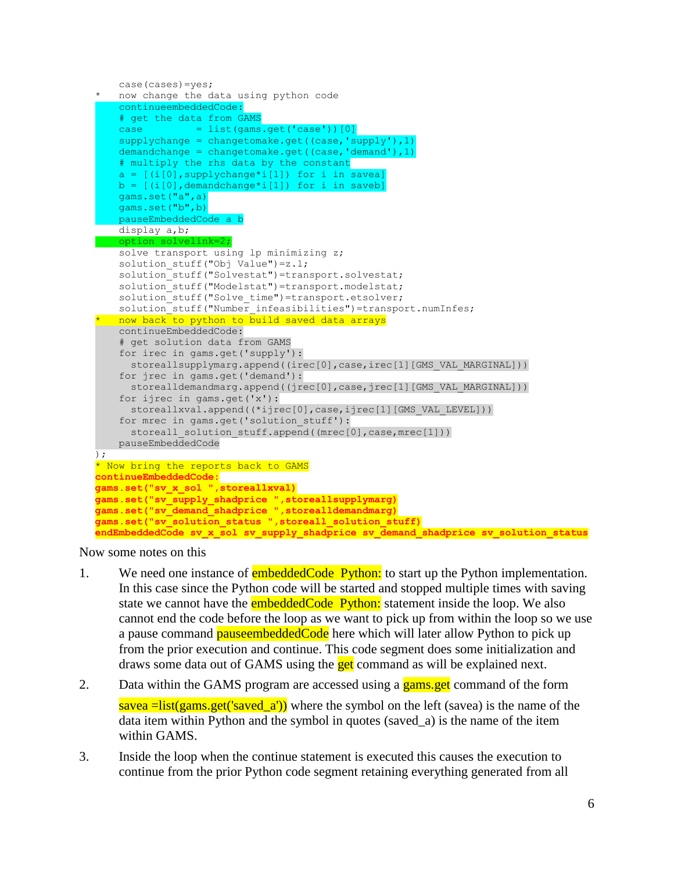```
 case(cases)=yes;
* now change the data using python code
     continueembeddedCode:
     # get the data from GAMS
    case = list(gams.get('case'))[0]
     supplychange = changetomake.get((case,'supply'),1) 
     demandchange = changetomake.get((case,'demand'),1) 
     # multiply the rhs data by the constant
a = [(i[0], supportychange * i[1]) for i in savea]
b = [(i[0], dem and change * i[1]) for i in saveb]
     gams.set("a",a)
     gams.set("b",b)
     pauseEmbeddedCode a b
    display a,b;
    option solvelink=2;
    solve transport using 1p minimizing z;
    solution stuff("Obj Value")=z.l;
    solution stuff("Solvestat")=transport.solvestat;
     solution_stuff("Modelstat")=transport.modelstat;
    solution_stuff("Solve_time")=transport.etsolver;
    solution_stuff("Number_infeasibilities")=transport.numInfes;
   now back to python to build saved data arrays
    continueEmbeddedCode:
     # get solution data from GAMS
    for irec in gams.get('supply'):
     storeallsupplymarg.append((irec[0],case,irec[1][GMS_VAL_MARGINAL]))
     for jrec in gams.get('demand'):
     storealldemandmarg.append((jrec[0],case,jrec[1][GMS_VAL_MARGINAL]))
     for ijrec in gams.get('x'):
     storeallxval.append((*ijrec[0],case,ijrec[1][GMS_VAL_LEVEL]))
     for mrec in gams.get('solution_stuff'):
     storeall_solution_stuff.append((mrec[0],case,mrec[1]))
    pauseEmbeddedCode
);
* Now bring the reports back to GAMS
continueEmbeddedCode:
gams.set("sv_x_sol ",storeallxval)
gams.set("sv_supply_shadprice ",storeallsupplymarg)
gams.set("sv_demand_shadprice ",storealldemandmarg)
gams.set("sv_solution_status ",storeall_solution_stuff)
endEmbeddedCode sv_x_sol sv_supply_shadprice sv_demand_shadprice sv_solution_status
```
Now some notes on this

- 1. We need one instance of **embeddedCode Python:** to start up the Python implementation. In this case since the Python code will be started and stopped multiple times with saving state we cannot have the **embeddedCode Python:** statement inside the loop. We also cannot end the code before the loop as we want to pick up from within the loop so we use a pause command **pauseembeddedCode** here which will later allow Python to pick up from the prior execution and continue. This code segment does some initialization and draws some data out of GAMS using the **get** command as will be explained next.
- 2. Data within the GAMS program are accessed using a gams get command of the form  $savea = list(gams.get('saved_a'))$  where the symbol on the left (savea) is the name of the data item within Python and the symbol in quotes (saved\_a) is the name of the item within GAMS.
- 3. Inside the loop when the continue statement is executed this causes the execution to continue from the prior Python code segment retaining everything generated from all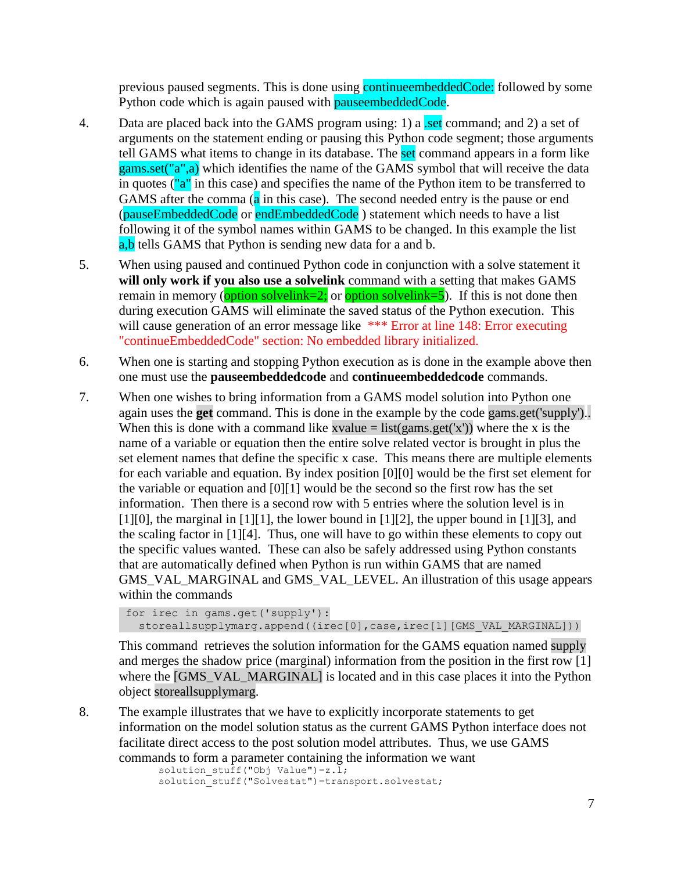previous paused segments. This is done using **continuers beddedCode**: followed by some Python code which is again paused with **pauseembeddedCode**.

- 4. Data are placed back into the GAMS program using: 1) a set command; and 2) a set of arguments on the statement ending or pausing this Python code segment; those arguments tell GAMS what items to change in its database. The set command appears in a form like gams.set("a",a) which identifies the name of the GAMS symbol that will receive the data in quotes ("a" in this case) and specifies the name of the Python item to be transferred to GAMS after the comma  $(a \text{ in this case})$ . The second needed entry is the pause or end (pauseEmbeddedCode or endEmbeddedCode ) statement which needs to have a list following it of the symbol names within GAMS to be changed. In this example the list a,b tells GAMS that Python is sending new data for a and b.
- 5. When using paused and continued Python code in conjunction with a solve statement it **will only work if you also use a solvelink** command with a setting that makes GAMS remain in memory (option solvelink=2; or option solvelink=5). If this is not done then during execution GAMS will eliminate the saved status of the Python execution. This will cause generation of an error message like \*\*\* Error at line 148: Error executing "continueEmbeddedCode" section: No embedded library initialized.
- 6. When one is starting and stopping Python execution as is done in the example above then one must use the **pauseembeddedcode** and **continueembeddedcode** commands.
- 7. When one wishes to bring information from a GAMS model solution into Python one again uses the **get** command. This is done in the example by the code gams.get('supply').. When this is done with a command like xvalue = list(gams.get('x')) where the x is the name of a variable or equation then the entire solve related vector is brought in plus the set element names that define the specific x case. This means there are multiple elements for each variable and equation. By index position [0][0] would be the first set element for the variable or equation and [0][1] would be the second so the first row has the set information. Then there is a second row with 5 entries where the solution level is in  $[1][0]$ , the marginal in  $[1][1]$ , the lower bound in  $[1][2]$ , the upper bound in  $[1][3]$ , and the scaling factor in [1][4]. Thus, one will have to go within these elements to copy out the specific values wanted. These can also be safely addressed using Python constants that are automatically defined when Python is run within GAMS that are named GMS\_VAL\_MARGINAL and GMS\_VAL\_LEVEL. An illustration of this usage appears within the commands

```
for irec in gams.get('supply'): 
  storeallsupplymarg.append((irec[0],case,irec[1][GMS_VAL_MARGINAL]))
```
This command retrieves the solution information for the GAMS equation named supply and merges the shadow price (marginal) information from the position in the first row [1] where the [GMS\_VAL\_MARGINAL] is located and in this case places it into the Python object storeallsupplymarg.

8. The example illustrates that we have to explicitly incorporate statements to get information on the model solution status as the current GAMS Python interface does not facilitate direct access to the post solution model attributes. Thus, we use GAMS commands to form a parameter containing the information we want

```
solution_stuff("Obj Value")=z.l;
solution_stuff("Solvestat")=transport.solvestat;
```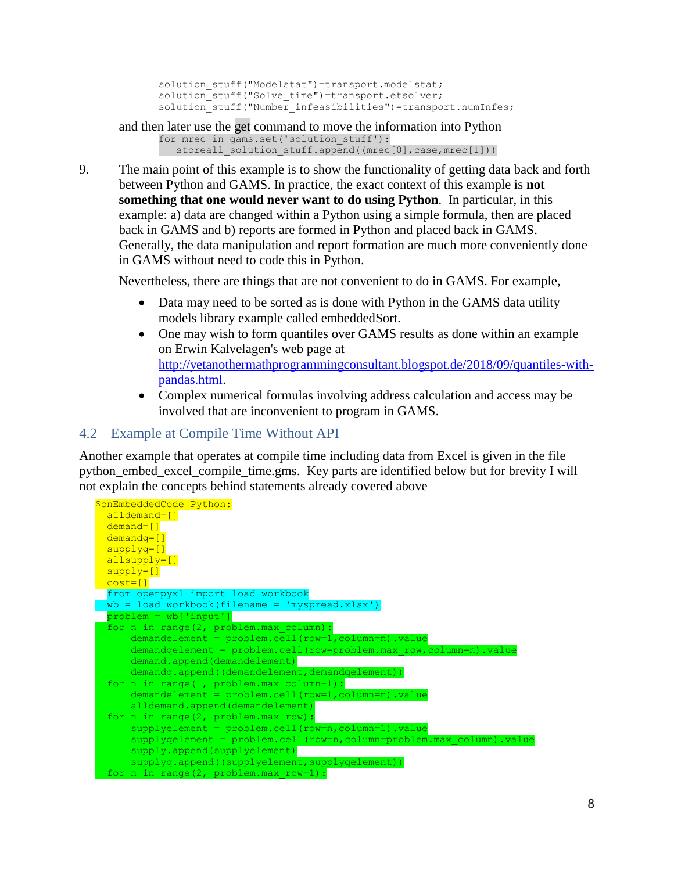```
solution stuff("Modelstat")=transport.modelstat;
solution_stuff("Solve_time")=transport.etsolver;
solution_stuff("Number_infeasibilities")=transport.numInfes;
```

```
and then later use the get command to move the information into Python
       for mrec in gams.set('solution stuff'):
         storeall_solution_stuff.append((mrec[0],case,mrec[1]))
```
9. The main point of this example is to show the functionality of getting data back and forth between Python and GAMS. In practice, the exact context of this example is **not something that one would never want to do using Python**. In particular, in this example: a) data are changed within a Python using a simple formula, then are placed back in GAMS and b) reports are formed in Python and placed back in GAMS. Generally, the data manipulation and report formation are much more conveniently done in GAMS without need to code this in Python.

Nevertheless, there are things that are not convenient to do in GAMS. For example,

- Data may need to be sorted as is done with Python in the GAMS data utility models library example called embeddedSort.
- One may wish to form quantiles over GAMS results as done within an example on Erwin Kalvelagen's web page at [http://yetanothermathprogrammingconsultant.blogspot.de/2018/09/quantiles-with](http://yetanothermathprogrammingconsultant.blogspot.de/2017/09/quantiles-with-pandas.html)[pandas.html.](http://yetanothermathprogrammingconsultant.blogspot.de/2017/09/quantiles-with-pandas.html)
- Complex numerical formulas involving address calculation and access may be involved that are inconvenient to program in GAMS.

### <span id="page-7-0"></span>4.2 Example at Compile Time Without API

Another example that operates at compile time including data from Excel is given in the file python\_embed\_excel\_compile\_time.gms. Key parts are identified below but for brevity I will not explain the concepts behind statements already covered above

```
$onEmbeddedCode Python:
 alldemand=[]
 demand=[]
  demandq=[]
 supplyq=[]
 allsupply=[]
 supply=[]\cosh=[] from openpyxl import load_workbook
wb = load_words(filename = 'myspread.xlsx')problem = wb['input']
  for n in range(2, problem.max_column):
     demandelement = problem.cell(row=1, column=n).value demandqelement = problem.cell(row=problem.max_row,column=n).value
demand.append(demandelement)
     demandq.append((demandelement,demandqelement))
  for n in range(1, problem.max_column+1):
     demandelement = problem.cell(row=1,column=n).value
      alldemand.append(demandelement)
  for n in range(2, problem.max_row):
     supplyelement = problem.cell(row=n,column=1).value
      supplyqelement = problem.cell(row=n,column=problem.max_column).value
      supply.append(supplyelement)
     supplyq.append((supplyelement,supplyqelement))
   for n in range(2, problem.max_row+1):
```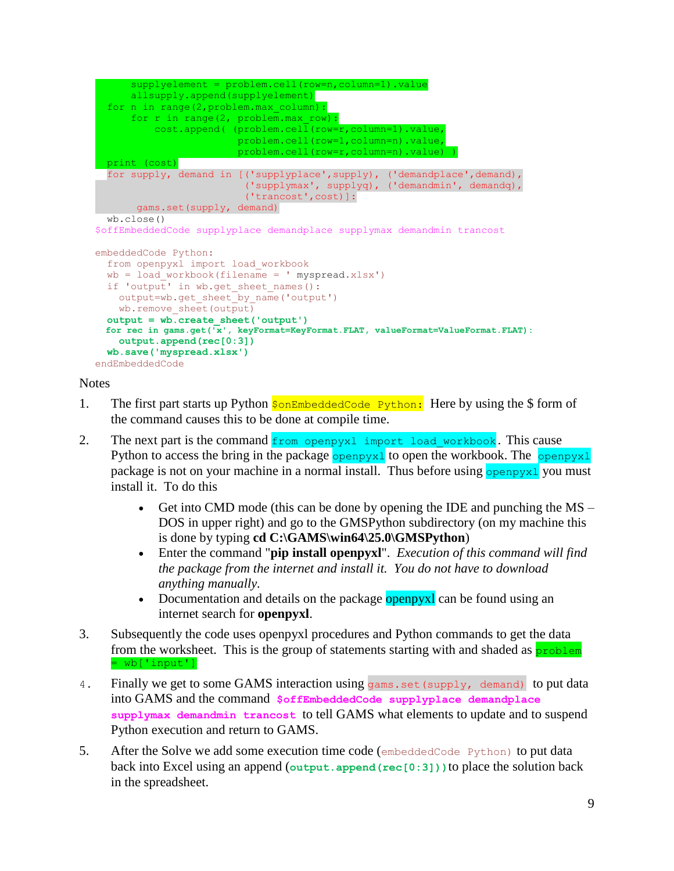```
supply element = problem.cell(row=n, column=1).val allsupply.append(supplyelement)
   for n in range(2,problem.max_column):
      for r in range(2, problem.max row):
           cost.append( (problem.cell(row=r,column=1).value, 
                         problem.cell(row=1,column=n).value,
                         problem.cell(row=r,column=n).value) )
   print (cost)
  for supply, demand in [('supplyplace',supply), ('demandplace',demand),
                           ('supplymax', supplyq), ('demandmin', demandq),
                           ('trancost',cost)]:
       gams.set(supply, demand)
   wb.close()
$offEmbeddedCode supplyplace demandplace supplymax demandmin trancost
embeddedCode Python:
   from openpyxl import load_workbook
  wb = load workbook(filename = 'myspread.xlsx')if 'output' in wb.get sheet names():
   output=wb.get sheet by name('output')
    wb.remove_sheet(output)
   output = wb.create_sheet('output')
   for rec in gams.get('x', keyFormat=KeyFormat.FLAT, valueFormat=ValueFormat.FLAT):
    output.append(rec[0:3])
   wb.save('myspread.xlsx')
endEmbeddedCode
```
#### **Notes**

- 1. The first part starts up Python  $\frac{1}{5}$  on EmbeddedCode Python: Here by using the \$ form of the command causes this to be done at compile time.
- 2. The next part is the command from openpyxl import load workbook. This cause Python to access the bring in the package  $\frac{1}{2}$  openpyx<sup>1</sup> to open the workbook. The  $\frac{1}{2}$ package is not on your machine in a normal install. Thus before using openpyx1 you must install it. To do this
	- Get into CMD mode (this can be done by opening the IDE and punching the MS DOS in upper right) and go to the GMSPython subdirectory (on my machine this is done by typing **cd C:\GAMS\win64\25.0\GMSPython**)
	- Enter the command "**pip install openpyxl**". *Execution of this command will find the package from the internet and install it. You do not have to download anything manually.*
	- Documentation and details on the package **openpyxl** can be found using an internet search for **openpyxl**.
- 3. Subsequently the code uses openpyxl procedures and Python commands to get the data from the worksheet. This is the group of statements starting with and shaded as  $\frac{problem}{problem}$  $=$  wb['input']
- 4. Finally we get to some GAMS interaction using gams. set (supply, demand) to put data into GAMS and the command **\$offEmbeddedCode supplyplace demandplace supplymax demandmin trancost** to tell GAMS what elements to update and to suspend Python execution and return to GAMS.
- 5. After the Solve we add some execution time code (embeddedCode Python) to put data back into Excel using an append (**output.append(rec[0:3]))**to place the solution back in the spreadsheet.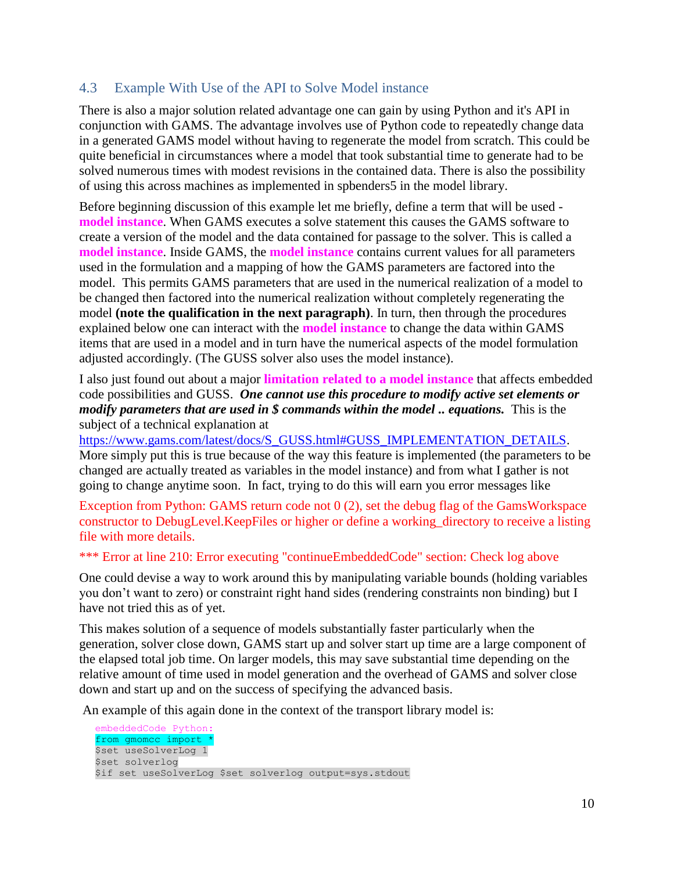## <span id="page-9-0"></span>4.3 Example With Use of the API to Solve Model instance

There is also a major solution related advantage one can gain by using Python and it's API in conjunction with GAMS. The advantage involves use of Python code to repeatedly change data in a generated GAMS model without having to regenerate the model from scratch. This could be quite beneficial in circumstances where a model that took substantial time to generate had to be solved numerous times with modest revisions in the contained data. There is also the possibility of using this across machines as implemented in spbenders5 in the model library.

Before beginning discussion of this example let me briefly, define a term that will be used **model instance**. When GAMS executes a solve statement this causes the GAMS software to create a version of the model and the data contained for passage to the solver. This is called a **model instance**. Inside GAMS, the **model instance** contains current values for all parameters used in the formulation and a mapping of how the GAMS parameters are factored into the model. This permits GAMS parameters that are used in the numerical realization of a model to be changed then factored into the numerical realization without completely regenerating the model **(note the qualification in the next paragraph)**. In turn, then through the procedures explained below one can interact with the **model instance** to change the data within GAMS items that are used in a model and in turn have the numerical aspects of the model formulation adjusted accordingly. (The GUSS solver also uses the model instance).

I also just found out about a major **limitation related to a model instance** that affects embedded code possibilities and GUSS. *One cannot use this procedure to modify active set elements or modify parameters that are used in \$ commands within the model .. equations.* This is the subject of a technical explanation at

[https://www.gams.com/latest/docs/S\\_GUSS.html#GUSS\\_IMPLEMENTATION\\_DETAILS.](https://www.gams.com/latest/docs/S_GUSS.html#GUSS_IMPLEMENTATION_DETAILS) More simply put this is true because of the way this feature is implemented (the parameters to be changed are actually treated as variables in the model instance) and from what I gather is not going to change anytime soon. In fact, trying to do this will earn you error messages like

Exception from Python: GAMS return code not 0 (2), set the debug flag of the GamsWorkspace constructor to DebugLevel.KeepFiles or higher or define a working\_directory to receive a listing file with more details.

#### \*\*\* Error at line 210: Error executing "continueEmbeddedCode" section: Check log above

One could devise a way to work around this by manipulating variable bounds (holding variables you don't want to zero) or constraint right hand sides (rendering constraints non binding) but I have not tried this as of yet.

This makes solution of a sequence of models substantially faster particularly when the generation, solver close down, GAMS start up and solver start up time are a large component of the elapsed total job time. On larger models, this may save substantial time depending on the relative amount of time used in model generation and the overhead of GAMS and solver close down and start up and on the success of specifying the advanced basis.

An example of this again done in the context of the transport library model is:

embeddedCode Python: from gmomcc import \* \$set useSolverLog 1 \$set solverlog \$if set useSolverLog \$set solverlog output=sys.stdout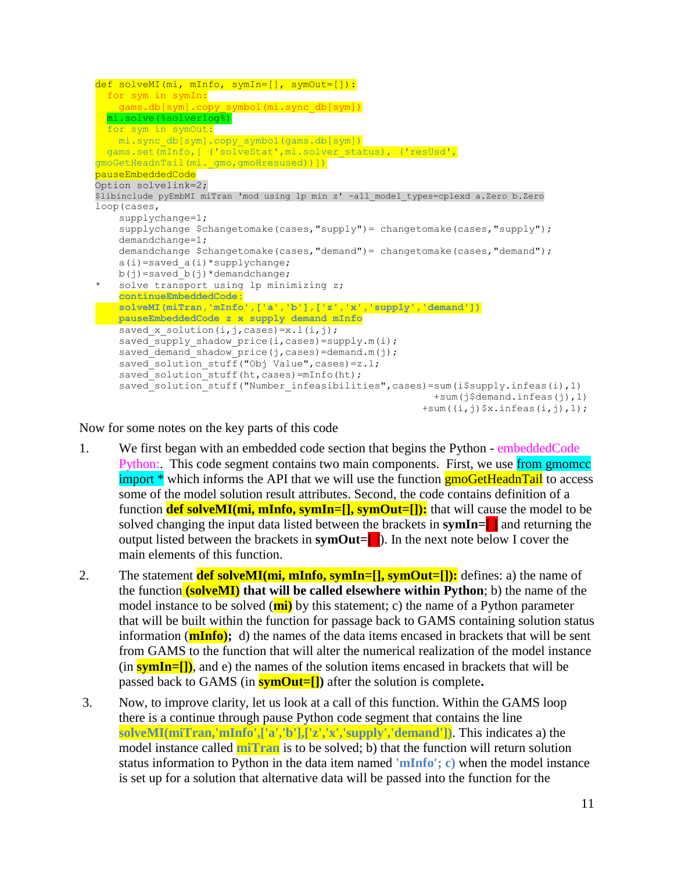```
def solveMI(mi, mInfo, symIn=[], symOut=[]):
  for sym in symIn:
   gams.db[sym].copy_symbol(mi.sync_db[sym])
  mi.solve(%solverlog%)
  for sym in symOut:
   mi.sync_db[sym].copy_symbol(gams.db[sym])
 gams.set(mInfo, [ ('solveStat',mi.solver status), ('resUsd',
gmoGetHeadnTail(mi._gmo,gmoHresused))])
pauseEmbeddedCode
Option solvelink=2;
$libinclude pyEmbMI miTran 'mod using lp min z' -all_model_types=cplexd a.Zero b.Zero
loop(cases,
    supplychange=1;
    supplychange $changetomake(cases, "supply")= changetomake(cases, "supply");
     demandchange=1;
    demandchange $changetomake(cases,"demand")= changetomake(cases,"demand");
   a(i) = saved a(i) * supplychange;
b(j)=saved b(j)*demandchange;
* solve transport using lp minimizing z;
    continueEmbeddedCode:
    solveMI(miTran,'mInfo',['a','b'],['z','x','supply','demand'])
  pauseEmbeddedCode z x supply demand mInfo
   saved x solution(i,j,cases)=x.l(i,j);
   saved supply shadow price(i, cases)=supply.m(i);
    saved demand shadow price(j,cases)=demand.m(j);
    saved_solution_stuff("Obj Value", cases)=z.l;
    saved solution stuff(ht, cases)=mInfo(ht);
    saved_solution_stuff("Number_infeasibilities",cases)=sum(i$supply.infeas(i),1)
                                                          +sum(j$demand.infeas(j),1) 
                                                        +sum((i,j)$x.infeas(i,j),1);
```
Now for some notes on the key parts of this code

- 1. We first began with an embedded code section that begins the Python embeddedCode Python: This code segment contains two main components. First, we use from gmomcc import \* which informs the API that we will use the function **gmoGetHeadnTail** to access some of the model solution result attributes. Second, the code contains definition of a function **def solveMI(mi, mInfo, symIn=[], symOut=[]):** that will cause the model to be solved changing the input data listed between the brackets in **symIn=[ ]** and returning the output listed between the brackets in **symOut=[** ]). In the next note below I cover the main elements of this function.
- 2. The statement **def solveMI(mi, mInfo, symIn=[], symOut=[]):** defines: a) the name of the function **(solveMI) that will be called elsewhere within Python**; b) the name of the model instance to be solved (**mi)** by this statement; c) the name of a Python parameter that will be built within the function for passage back to GAMS containing solution status information (**mInfo);** d) the names of the data items encased in brackets that will be sent from GAMS to the function that will alter the numerical realization of the model instance  $(\text{in } \frac{\text{symIn}[-1])}{\text{symIn}}$ , and e) the names of the solution items encased in brackets that will be passed back to GAMS (in **symOut=[])** after the solution is complete**.**
- 3. Now, to improve clarity, let us look at a call of this function. Within the GAMS loop there is a continue through pause Python code segment that contains the line **solveMI(miTran,'mInfo',['a','b'],['z','x','supply','demand'])**. This indicates a) the model instance called **miTran** is to be solved; b) that the function will return solution status information to Python in the data item named **'mInfo'; c)** when the model instance is set up for a solution that alternative data will be passed into the function for the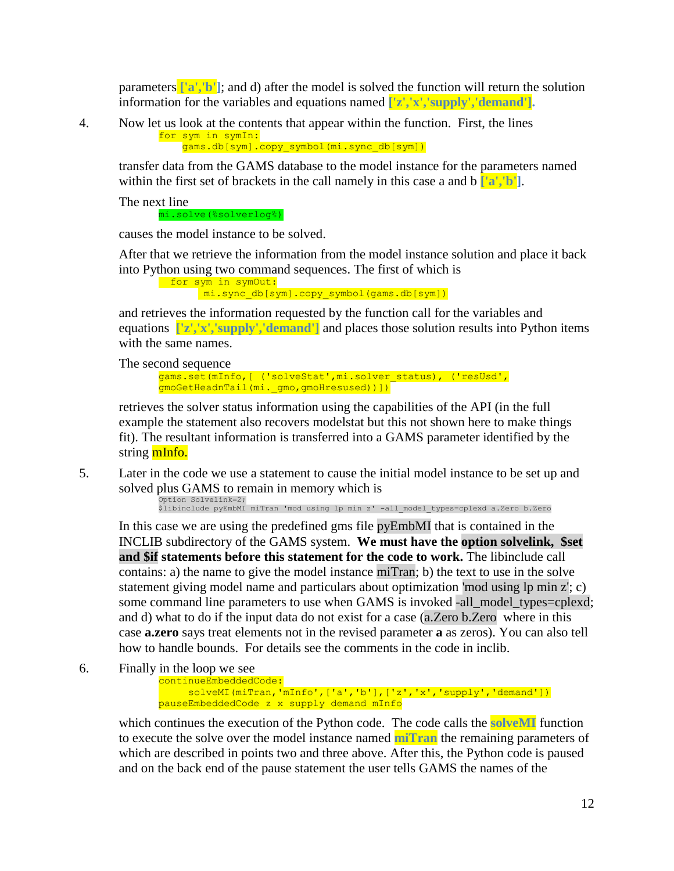parameters **['a','b']**; and d) after the model is solved the function will return the solution information for the variables and equations named **['z','x','supply','demand'].**

4. Now let us look at the contents that appear within the function. First, the lines for sym in symIn:

gams.db[sym].copy\_symbol(mi.sync\_db[sym])

transfer data from the GAMS database to the model instance for the parameters named within the first set of brackets in the call namely in this case a and b **['a','b']**.

The next line

mi.solve(%solverlog%)

causes the model instance to be solved.

After that we retrieve the information from the model instance solution and place it back into Python using two command sequences. The first of which is

for sym in symOut: mi.sync\_db[sym].copy\_symbol(gams.db[sym])

and retrieves the information requested by the function call for the variables and equations **['z','x','supply','demand']** and places those solution results into Python items with the same names.

The second sequence

gams.set(mInfo,[ ('solveStat',mi.solver status), ('resUsd', gmoGetHeadnTail(mi.gmo,gmoHresused))])

retrieves the solver status information using the capabilities of the API (in the full example the statement also recovers modelstat but this not shown here to make things fit). The resultant information is transferred into a GAMS parameter identified by the string mInfo.

5. Later in the code we use a statement to cause the initial model instance to be set up and solved plus GAMS to remain in memory which is

Option Solvelink=2; \$libinclude pyEmbMI miTran 'mod using lp min z' -all\_model\_types=cplexd a.Zero b.Zero

In this case we are using the predefined gms file pyEmbMI that is contained in the INCLIB subdirectory of the GAMS system. **We must have the option solvelink, \$set and \$if statements before this statement for the code to work.** The libinclude call contains: a) the name to give the model instance miTran; b) the text to use in the solve statement giving model name and particulars about optimization 'mod using lp min z'; c) some command line parameters to use when GAMS is invoked -all\_model\_types=cplexd; and d) what to do if the input data do not exist for a case (a.Zero b.Zero where in this case **a.zero** says treat elements not in the revised parameter **a** as zeros). You can also tell how to handle bounds. For details see the comments in the code in inclib.

6. Finally in the loop we see

continueEmbeddedCode: solveMI(miTran,'mInfo',['a','b'],['z','x','supply','demand']) pauseEmbeddedCode z x supply demand mInfo

which continues the execution of the Python code. The code calls the **solveMI** function to execute the solve over the model instance named **miTran** the remaining parameters of which are described in points two and three above. After this, the Python code is paused and on the back end of the pause statement the user tells GAMS the names of the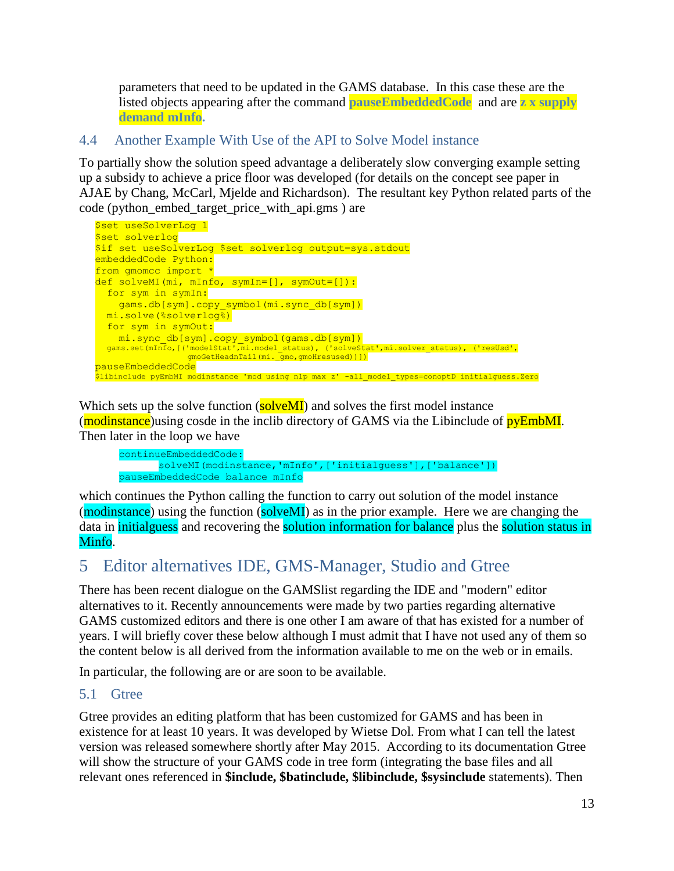parameters that need to be updated in the GAMS database. In this case these are the listed objects appearing after the command **pauseEmbeddedCode** and are **z x supply demand mInfo.**

## <span id="page-12-0"></span>4.4 Another Example With Use of the API to Solve Model instance

To partially show the solution speed advantage a deliberately slow converging example setting up a subsidy to achieve a price floor was developed (for details on the concept see paper in AJAE by Chang, McCarl, Mjelde and Richardson). The resultant key Python related parts of the code (python\_embed\_target\_price\_with\_api.gms ) are



Which sets up the solve function  $(solveMI)$  and solves the first model instance (modinstance) using cosde in the inclib directory of GAMS via the Libinclude of pyEmbMI. Then later in the loop we have

 continueEmbeddedCode: solveMI(modinstance,'mInfo',['initialguess'],['balance']) pauseEmbeddedCode balance mInfo

which continues the Python calling the function to carry out solution of the model instance (modinstance) using the function (solveMI) as in the prior example. Here we are changing the data in initialguess and recovering the solution information for balance plus the solution status in Minfo.

## <span id="page-12-1"></span>5 Editor alternatives IDE, GMS-Manager, Studio and Gtree

There has been recent dialogue on the GAMSlist regarding the IDE and "modern" editor alternatives to it. Recently announcements were made by two parties regarding alternative GAMS customized editors and there is one other I am aware of that has existed for a number of years. I will briefly cover these below although I must admit that I have not used any of them so the content below is all derived from the information available to me on the web or in emails.

In particular, the following are or are soon to be available.

#### <span id="page-12-2"></span>5.1 Gtree

Gtree provides an editing platform that has been customized for GAMS and has been in existence for at least 10 years. It was developed by Wietse Dol. From what I can tell the latest version was released somewhere shortly after May 2015. According to its documentation Gtree will show the structure of your GAMS code in tree form (integrating the base files and all relevant ones referenced in **\$include, \$batinclude, \$libinclude, \$sysinclude** statements). Then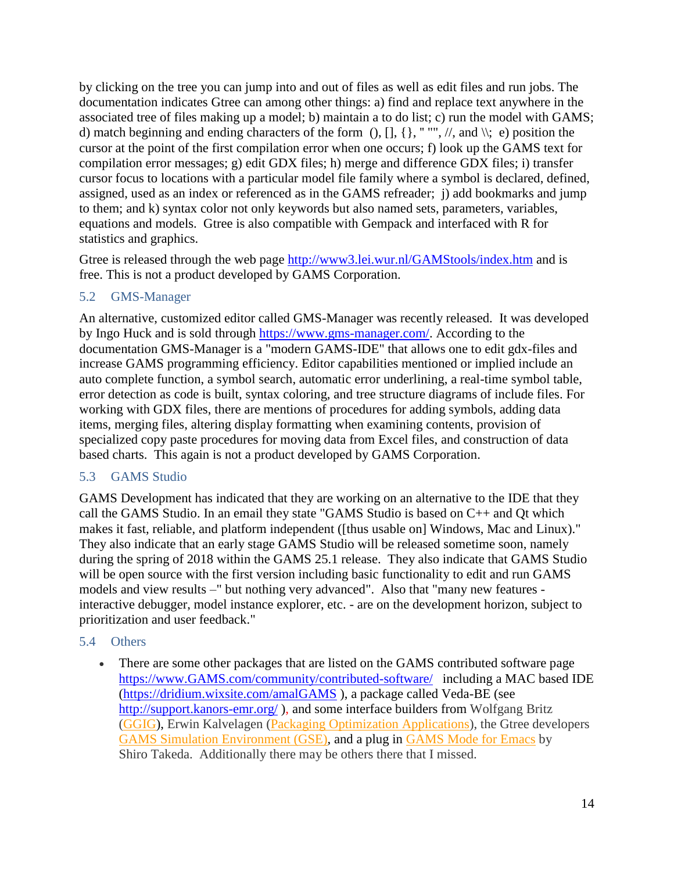by clicking on the tree you can jump into and out of files as well as edit files and run jobs. The documentation indicates Gtree can among other things: a) find and replace text anywhere in the associated tree of files making up a model; b) maintain a to do list; c) run the model with GAMS; d) match beginning and ending characters of the form  $(), [], {}, " "", \mathit{//}, and \mathit{\\}, e)$  position the cursor at the point of the first compilation error when one occurs; f) look up the GAMS text for compilation error messages; g) edit GDX files; h) merge and difference GDX files; i) transfer cursor focus to locations with a particular model file family where a symbol is declared, defined, assigned, used as an index or referenced as in the GAMS refreader; j) add bookmarks and jump to them; and k) syntax color not only keywords but also named sets, parameters, variables, equations and models. Gtree is also compatible with Gempack and interfaced with R for statistics and graphics.

Gtree is released through the web page [http://www3.lei.wur.nl/GAMStools/index.htm](http://www3.lei.wur.nl/gamstools/index.htm) and is free. This is not a product developed by GAMS Corporation.

#### <span id="page-13-0"></span>5.2 GMS-Manager

An alternative, customized editor called GMS-Manager was recently released. It was developed by Ingo Huck and is sold through [https://www.gms-manager.com/.](https://www.gms-manager.com/) According to the documentation GMS-Manager is a "modern GAMS-IDE" that allows one to edit gdx-files and increase GAMS programming efficiency. Editor capabilities mentioned or implied include an auto complete function, a symbol search, automatic error underlining, a real-time symbol table, error detection as code is built, syntax coloring, and tree structure diagrams of include files. For working with GDX files, there are mentions of procedures for adding symbols, adding data items, merging files, altering display formatting when examining contents, provision of specialized copy paste procedures for moving data from Excel files, and construction of data based charts. This again is not a product developed by GAMS Corporation.

#### <span id="page-13-1"></span>5.3 GAMS Studio

GAMS Development has indicated that they are working on an alternative to the IDE that they call the GAMS Studio. In an email they state "GAMS Studio is based on C++ and Qt which makes it fast, reliable, and platform independent ([thus usable on] Windows, Mac and Linux)." They also indicate that an early stage GAMS Studio will be released sometime soon, namely during the spring of 2018 within the GAMS 25.1 release. They also indicate that GAMS Studio will be open source with the first version including basic functionality to edit and run GAMS models and view results –" but nothing very advanced". Also that "many new features interactive debugger, model instance explorer, etc. - are on the development horizon, subject to prioritization and user feedback."

#### <span id="page-13-2"></span>5.4 Others

• There are some other packages that are listed on the GAMS contributed software page [https://www.GAMS.com/community/contributed-software/](https://www.gams.com/community/contributed-software/) including a MAC based IDE [\(https://dridium.wixsite.com/amalGAMS](https://dridium.wixsite.com/amalgams) ), a package called Veda-BE (see <http://support.kanors-emr.org/>), and some interface builders from Wolfgang Britz [\(GGIG\)](http://www.ilr.uni-bonn.de/em/staff/britz/ggig_e.htm), Erwin Kalvelagen [\(Packaging Optimization Applications\)](http://amsterdamoptimization.com/packaging.html), the Gtree developers GAMS [Simulation Environment \(GSE\),](http://www3.lei.wur.nl/gamstools/index.htm) and a plug in GAMS [Mode for Emacs](http://shirotakeda.org/en/gams/gams-mode/) by Shiro Takeda. Additionally there may be others there that I missed.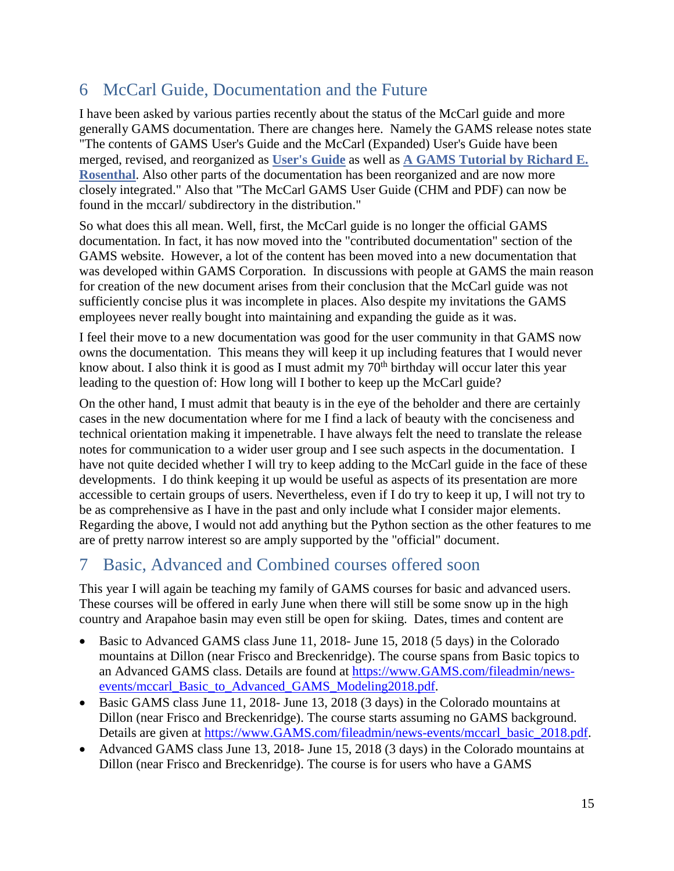# <span id="page-14-0"></span>6 McCarl Guide, Documentation and the Future

I have been asked by various parties recently about the status of the McCarl guide and more generally GAMS documentation. There are changes here. Namely the GAMS release notes state "The contents of GAMS User's Guide and the McCarl (Expanded) User's Guide have been merged, revised, and reorganized as **[User's Guide](https://www.gams.com/latest/docs/UG_MAIN.html)** as well as **A GAMS [Tutorial by Richard E.](https://www.gams.com/latest/docs/UG_Tutorial.html)  [Rosenthal](https://www.gams.com/latest/docs/UG_Tutorial.html)**. Also other parts of the documentation has been reorganized and are now more closely integrated." Also that "The McCarl GAMS User Guide (CHM and PDF) can now be found in the mccarl/ subdirectory in the distribution."

So what does this all mean. Well, first, the McCarl guide is no longer the official GAMS documentation. In fact, it has now moved into the "contributed documentation" section of the GAMS website. However, a lot of the content has been moved into a new documentation that was developed within GAMS Corporation. In discussions with people at GAMS the main reason for creation of the new document arises from their conclusion that the McCarl guide was not sufficiently concise plus it was incomplete in places. Also despite my invitations the GAMS employees never really bought into maintaining and expanding the guide as it was.

I feel their move to a new documentation was good for the user community in that GAMS now owns the documentation. This means they will keep it up including features that I would never know about. I also think it is good as I must admit my  $70<sup>th</sup>$  birthday will occur later this year leading to the question of: How long will I bother to keep up the McCarl guide?

On the other hand, I must admit that beauty is in the eye of the beholder and there are certainly cases in the new documentation where for me I find a lack of beauty with the conciseness and technical orientation making it impenetrable. I have always felt the need to translate the release notes for communication to a wider user group and I see such aspects in the documentation. I have not quite decided whether I will try to keep adding to the McCarl guide in the face of these developments. I do think keeping it up would be useful as aspects of its presentation are more accessible to certain groups of users. Nevertheless, even if I do try to keep it up, I will not try to be as comprehensive as I have in the past and only include what I consider major elements. Regarding the above, I would not add anything but the Python section as the other features to me are of pretty narrow interest so are amply supported by the "official" document.

# <span id="page-14-1"></span>7 Basic, Advanced and Combined courses offered soon

This year I will again be teaching my family of GAMS courses for basic and advanced users. These courses will be offered in early June when there will still be some snow up in the high country and Arapahoe basin may even still be open for skiing. Dates, times and content are

- Basic to Advanced GAMS class June 11, 2018- June 15, 2018 (5 days) in the Colorado mountains at Dillon (near Frisco and Breckenridge). The course spans from Basic topics to an Advanced GAMS class. Details are found at [https://www.GAMS.com/fileadmin/news](https://www.gams.com/fileadmin/news-events/mccarl_Basic_to_Advanced_GAMS_Modeling2018.pdf)[events/mccarl\\_Basic\\_to\\_Advanced\\_GAMS\\_Modeling2018.pdf.](https://www.gams.com/fileadmin/news-events/mccarl_Basic_to_Advanced_GAMS_Modeling2018.pdf)
- Basic GAMS class June 11, 2018- June 13, 2018 (3 days) in the Colorado mountains at Dillon (near Frisco and Breckenridge). The course starts assuming no GAMS background. Details are given at [https://www.GAMS.com/fileadmin/news-events/mccarl\\_basic\\_2018.pdf.](https://www.gams.com/fileadmin/news-events/mccarl_basic_2018.pdf)
- Advanced GAMS class June 13, 2018- June 15, 2018 (3 days) in the Colorado mountains at Dillon (near Frisco and Breckenridge). The course is for users who have a GAMS